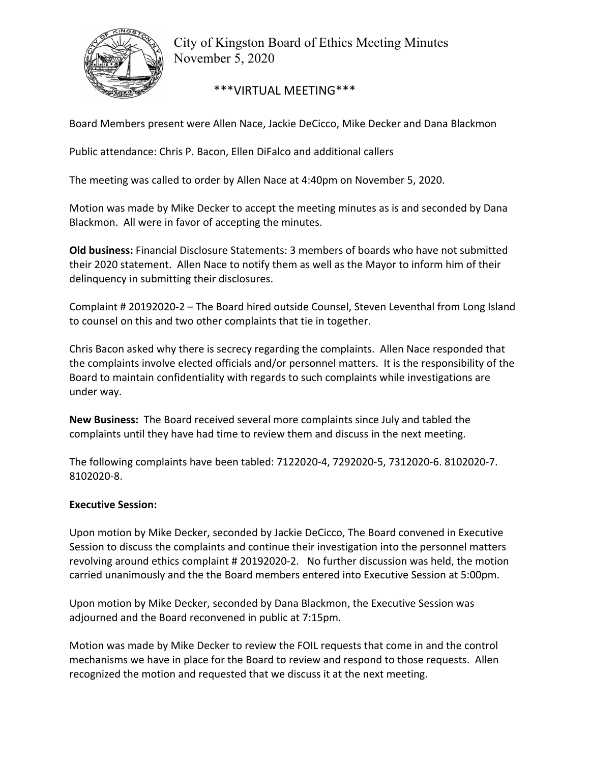

City of Kingston Board of Ethics Meeting Minutes November 5, 2020

\*\*\*VIRTUAL MEETING\*\*\*

Board Members present were Allen Nace, Jackie DeCicco, Mike Decker and Dana Blackmon

Public attendance: Chris P. Bacon, Ellen DiFalco and additional callers

The meeting was called to order by Allen Nace at 4:40pm on November 5, 2020.

Motion was made by Mike Decker to accept the meeting minutes as is and seconded by Dana Blackmon. All were in favor of accepting the minutes.

**Old business:** Financial Disclosure Statements: 3 members of boards who have not submitted their 2020 statement. Allen Nace to notify them as well as the Mayor to inform him of their delinquency in submitting their disclosures.

Complaint # 20192020‐2 – The Board hired outside Counsel, Steven Leventhal from Long Island to counsel on this and two other complaints that tie in together.

Chris Bacon asked why there is secrecy regarding the complaints. Allen Nace responded that the complaints involve elected officials and/or personnel matters. It is the responsibility of the Board to maintain confidentiality with regards to such complaints while investigations are under way.

**New Business:** The Board received several more complaints since July and tabled the complaints until they have had time to review them and discuss in the next meeting.

The following complaints have been tabled: 7122020‐4, 7292020‐5, 7312020‐6. 8102020‐7. 8102020‐8.

## **Executive Session:**

Upon motion by Mike Decker, seconded by Jackie DeCicco, The Board convened in Executive Session to discuss the complaints and continue their investigation into the personnel matters revolving around ethics complaint # 20192020‐2. No further discussion was held, the motion carried unanimously and the the Board members entered into Executive Session at 5:00pm.

Upon motion by Mike Decker, seconded by Dana Blackmon, the Executive Session was adjourned and the Board reconvened in public at 7:15pm.

Motion was made by Mike Decker to review the FOIL requests that come in and the control mechanisms we have in place for the Board to review and respond to those requests. Allen recognized the motion and requested that we discuss it at the next meeting.